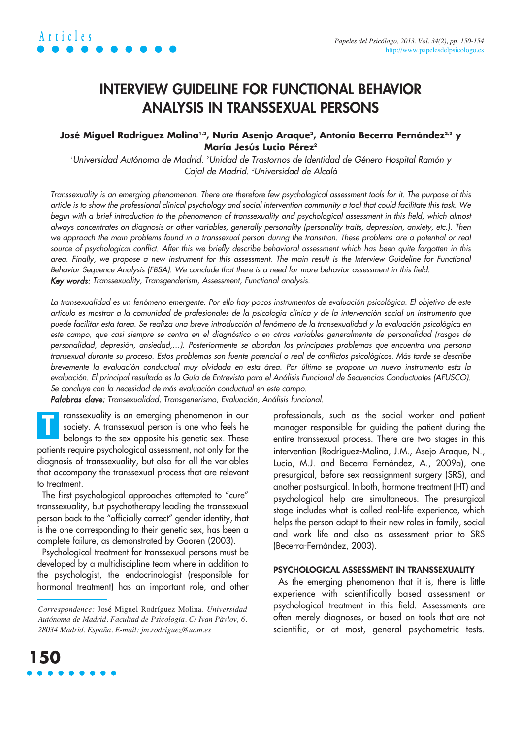### **INTERVIEW GUIDELINE FOR FUNCTIONAL BEHAVIOR ANALYSIS IN TRANSSEXUAL PERSONS**

#### José Miguel Rodríguez Molina<sup>1,2</sup>, Nuria Asenjo Araque<sup>2</sup>, Antonio Becerra Fernández<sup>2,3</sup> y **María Jesús Lucio Pérez2**

'Universidad Autónoma de Madrid. <sup>2</sup>Unidad de Trastornos de Identidad de Género Hospital Ramón y Cajal de Madrid. <sup>3</sup>Universidad de Alcalá

Transsexuality is an emerging phenomenon. There are therefore few psychological assessment tools for it. The purpose of this article is to show the professional clinical psychology and social intervention community a tool that could facilitate this task. We begin with a brief introduction to the phenomenon of transsexuality and psychological assessment in this field, which almost always concentrates on diagnosis or other variables, generally personality (personality traits, depression, anxiety, etc.). Then we approach the main problems found in a transsexual person during the transition. These problems are a potential or real source of psychological conflict. After this we briefly describe behavioral assessment which has been quite forgotten in this area. Finally, we propose a new instrument for this assessment. The main result is the Interview Guideline for Functional Behavior Sequence Analysis (FBSA). We conclude that there is a need for more behavior assessment in this field. Key words: Transsexuality, Transgenderism, Assessment, Functional analysis.

La transexualidad es un fenómeno emergente. Por ello hay pocos instrumentos de evaluación psicológica. El objetivo de este artículo es mostrar a la comunidad de profesionales de la psicología clínica y de la intervención social un instrumento que puede facilitar esta tarea. Se realiza una breve introducción al fenómeno de la transexualidad y la evaluación psicológica en este campo, que casi siempre se centra en el diagnóstico o en otras variables generalmente de personalidad (rasgos de personalidad, depresión, ansiedad,…). Posteriormente se abordan los principales problemas que encuentra una persona transexual durante su proceso. Estos problemas son fuente potencial o real de conflictos psicológicos. Más tarde se describe brevemente la evaluación conductual muy olvidada en esta área. Por último se propone un nuevo instrumento esta la evaluación. El principal resultado es la Guía de Entrevista para el Análisis Funcional de Secuencias Conductuales (AFUSCO). Se concluye con la necesidad de más evaluación conductual en este campo.

Palabras clave: Transexualidad, Transgenerismo, Evaluación, Análisis funcional.

ranssexuality is an emerging phenomenon in our society. A transsexual person is one who feels he belongs to the sex opposite his genetic sex. These patients require psychological assessment, not only for the diagnosis of transsexuality, but also for all the variables that accompany the transsexual process that are relevant to treatment. **T**

The first psychological approaches attempted to "cure" transsexuality, but psychotherapy leading the transsexual person back to the "officially correct" gender identity, that is the one corresponding to their genetic sex, has been a complete failure, as demonstrated by Gooren (2003).

Psychological treatment for transsexual persons must be developed by a multidiscipline team where in addition to the psychologist, the endocrinologist (responsible for hormonal treatment) has an important role, and other professionals, such as the social worker and patient manager responsible for guiding the patient during the entire transsexual process. There are two stages in this intervention (Rodríguez-Molina, J.M., Asejo Araque, N., Lucio, M.J. and Becerra Fernández, A., 2009a), one presurgical, before sex reassignment surgery (SRS), and another postsurgical. In both, hormone treatment (HT) and psychological help are simultaneous. The presurgical stage includes what is called real-life experience, which helps the person adapt to their new roles in family, social and work life and also as assessment prior to SRS (Becerra-Fernández, 2003).

#### **PSYCHOLOGICAL ASSESSMENT IN TRANSSEXUALITY**

As the emerging phenomenon that it is, there is little experience with scientifically based assessment or psychological treatment in this field. Assessments are often merely diagnoses, or based on tools that are not scientific, or at most, general psychometric tests.



*Correspondence:* José Miguel Rodríguez Molina. *Universidad Autónoma de Madrid. Facultad de Psicología. C/ Ivan Pàvlov, 6. 28034 Madrid. España. E-mail: jm.rodriguez@uam.es*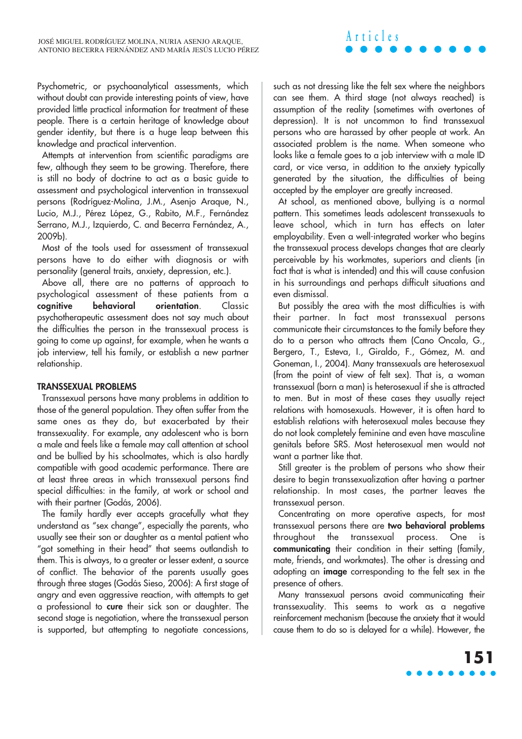Psychometric, or psychoanalytical assessments, which without doubt can provide interesting points of view, have provided little practical information for treatment of these people. There is a certain heritage of knowledge about gender identity, but there is a huge leap between this knowledge and practical intervention.

Attempts at intervention from scientific paradigms are few, although they seem to be growing. Therefore, there is still no body of doctrine to act as a basic guide to assessment and psychological intervention in transsexual persons (Rodríguez-Molina, J.M., Asenjo Araque, N., Lucio, M.J., Pérez López, G., Rabito, M.F., Fernández Serrano, M.J., Izquierdo, C. and Becerra Fernández, A., 2009b).

Most of the tools used for assessment of transsexual persons have to do either with diagnosis or with personality (general traits, anxiety, depression, etc.).

Above all, there are no patterns of approach to psychological assessment of these patients from a **cognitive behavioral orientation**. Classic psychotherapeutic assessment does not say much about the difficulties the person in the transsexual process is going to come up against, for example, when he wants a job interview, tell his family, or establish a new partner relationship.

#### **TRANSSEXUAL PROBLEMS**

Transsexual persons have many problems in addition to those of the general population. They often suffer from the same ones as they do, but exacerbated by their transsexuality. For example, any adolescent who is born a male and feels like a female may call attention at school and be bullied by his schoolmates, which is also hardly compatible with good academic performance. There are at least three areas in which transsexual persons find special difficulties: in the family, at work or school and with their partner (Godás, 2006).

The family hardly ever accepts gracefully what they understand as "sex change", especially the parents, who usually see their son or daughter as a mental patient who "got something in their head" that seems outlandish to them. This is always, to a greater or lesser extent, a source of conflict. The behavior of the parents usually goes through three stages (Godás Sieso, 2006): A first stage of angry and even aggressive reaction, with attempts to get a professional to **cure** their sick son or daughter. The second stage is negotiation, where the transsexual person is supported, but attempting to negotiate concessions, such as not dressing like the felt sex where the neighbors can see them. A third stage (not always reached) is assumption of the reality (sometimes with overtones of depression). It is not uncommon to find transsexual persons who are harassed by other people at work. An associated problem is the name. When someone who looks like a female goes to a job interview with a male ID card, or vice versa, in addition to the anxiety typically generated by the situation, the difficulties of being accepted by the employer are greatly increased.

**Articles**

At school, as mentioned above, bullying is a normal pattern. This sometimes leads adolescent transsexuals to leave school, which in turn has effects on later employability. Even a well-integrated worker who begins the transsexual process develops changes that are clearly perceivable by his workmates, superiors and clients (in fact that is what is intended) and this will cause confusion in his surroundings and perhaps difficult situations and even dismissal.

But possibly the area with the most difficulties is with their partner. In fact most transsexual persons communicate their circumstances to the family before they do to a person who attracts them (Cano Oncala, G., Bergero, T., Esteva, I., Giraldo, F., Gómez, M. and Goneman, I., 2004). Many transsexuals are heterosexual (from the point of view of felt sex). That is, a woman transsexual (born a man) is heterosexual if she is attracted to men. But in most of these cases they usually reject relations with homosexuals. However, it is often hard to establish relations with heterosexual males because they do not look completely feminine and even have masculine genitals before SRS. Most heterosexual men would not want a partner like that.

Still greater is the problem of persons who show their desire to begin transsexualization after having a partner relationship. In most cases, the partner leaves the transsexual person.

Concentrating on more operative aspects, for most transsexual persons there are **two behavioral problems** throughout the transsexual process. One is **communicating** their condition in their setting (family, mate, friends, and workmates). The other is dressing and adopting an **image** corresponding to the felt sex in the presence of others.

Many transsexual persons avoid communicating their transsexuality. This seems to work as a negative reinforcement mechanism (because the anxiety that it would cause them to do so is delayed for a while). However, the

# **151**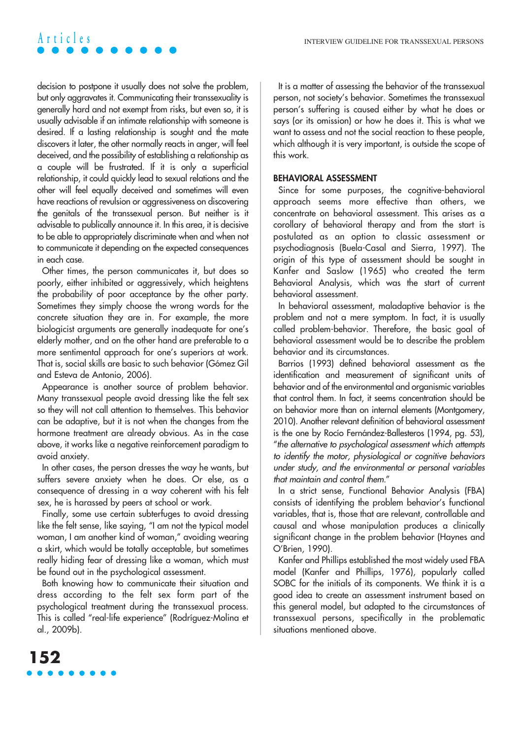### **Articles**

decision to postpone it usually does not solve the problem, but only aggravates it. Communicating their transsexuality is generally hard and not exempt from risks, but even so, it is usually advisable if an intimate relationship with someone is desired. If a lasting relationship is sought and the mate discovers it later, the other normally reacts in anger, will feel deceived, and the possibility of establishing a relationship as a couple will be frustrated. If it is only a superficial relationship, it could quickly lead to sexual relations and the other will feel equally deceived and sometimes will even have reactions of revulsion or aggressiveness on discovering the genitals of the transsexual person. But neither is it advisable to publically announce it. In this area, it is decisive to be able to appropriately discriminate when and when not to communicate it depending on the expected consequences in each case.

Other times, the person communicates it, but does so poorly, either inhibited or aggressively, which heightens the probability of poor acceptance by the other party. Sometimes they simply choose the wrong words for the concrete situation they are in. For example, the more biologicist arguments are generally inadequate for one's elderly mother, and on the other hand are preferable to a more sentimental approach for one's superiors at work. That is, social skills are basic to such behavior (Gómez Gil and Esteva de Antonio, 2006).

Appearance is another source of problem behavior. Many transsexual people avoid dressing like the felt sex so they will not call attention to themselves. This behavior can be adaptive, but it is not when the changes from the hormone treatment are already obvious. As in the case above, it works like a negative reinforcement paradigm to avoid anxiety.

In other cases, the person dresses the way he wants, but suffers severe anxiety when he does. Or else, as a consequence of dressing in a way coherent with his felt sex, he is harassed by peers at school or work.

Finally, some use certain subterfuges to avoid dressing like the felt sense, like saying, "I am not the typical model woman, I am another kind of woman," avoiding wearing a skirt, which would be totally acceptable, but sometimes really hiding fear of dressing like a woman, which must be found out in the psychological assessment.

Both knowing how to communicate their situation and dress according to the felt sex form part of the psychological treatment during the transsexual process. This is called "real-life experience" (Rodríguez-Molina et al., 2009b).

It is a matter of assessing the behavior of the transsexual person, not society's behavior. Sometimes the transsexual person's suffering is caused either by what he does or says (or its omission) or how he does it. This is what we want to assess and not the social reaction to these people, which although it is very important, is outside the scope of this work.

#### **BEHAVIORAL ASSESSMENT**

Since for some purposes, the cognitive-behavioral approach seems more effective than others, we concentrate on behavioral assessment. This arises as a corollary of behavioral therapy and from the start is postulated as an option to classic assessment or psychodiagnosis (Buela-Casal and Sierra, 1997). The origin of this type of assessment should be sought in Kanfer and Saslow (1965) who created the term Behavioral Analysis, which was the start of current behavioral assessment.

In behavioral assessment, maladaptive behavior is the problem and not a mere symptom. In fact, it is usually called problem-behavior. Therefore, the basic goal of behavioral assessment would be to describe the problem behavior and its circumstances.

Barrios (1993) defined behavioral assessment as the identification and measurement of significant units of behavior and of the environmental and organismic variables that control them. In fact, it seems concentration should be on behavior more than on internal elements (Montgomery, 2010). Another relevant definition of behavioral assessment is the one by Rocío Fernández-Ballesteros (1994, pg. 53), "the alternative to psychological assessment which attempts to identify the motor, physiological or cognitive behaviors under study, and the environmental or personal variables that maintain and control them."

In a strict sense, Functional Behavior Analysis (FBA) consists of identifying the problem behavior's functional variables, that is, those that are relevant, controllable and causal and whose manipulation produces a clinically significant change in the problem behavior (Haynes and O'Brien, 1990).

Kanfer and Phillips established the most widely used FBA model (Kanfer and Phillips, 1976), popularly called SOBC for the initials of its components. We think it is a good idea to create an assessment instrument based on this general model, but adapted to the circumstances of transsexual persons, specifically in the problematic situations mentioned above.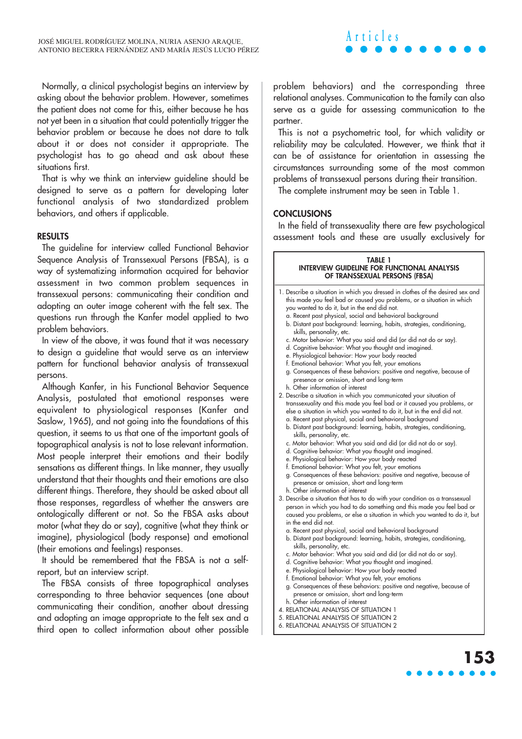**Articles**

Normally, a clinical psychologist begins an interview by asking about the behavior problem. However, sometimes the patient does not come for this, either because he has not yet been in a situation that could potentially trigger the behavior problem or because he does not dare to talk about it or does not consider it appropriate. The psychologist has to go ahead and ask about these situations first.

That is why we think an interview guideline should be designed to serve as a pattern for developing later functional analysis of two standardized problem behaviors, and others if applicable.

#### **RESULTS**

The guideline for interview called Functional Behavior Sequence Analysis of Transsexual Persons (FBSA), is a way of systematizing information acquired for behavior assessment in two common problem sequences in transsexual persons: communicating their condition and adopting an outer image coherent with the felt sex. The questions run through the Kanfer model applied to two problem behaviors.

In view of the above, it was found that it was necessary to design a guideline that would serve as an interview pattern for functional behavior analysis of transsexual persons.

Although Kanfer, in his Functional Behavior Sequence Analysis, postulated that emotional responses were equivalent to physiological responses (Kanfer and Saslow, 1965), and not going into the foundations of this question, it seems to us that one of the important goals of topographical analysis is not to lose relevant information. Most people interpret their emotions and their bodily sensations as different things. In like manner, they usually understand that their thoughts and their emotions are also different things. Therefore, they should be asked about all those responses, regardless of whether the answers are ontologically different or not. So the FBSA asks about motor (what they do or say), cognitive (what they think or imagine), physiological (body response) and emotional (their emotions and feelings) responses.

It should be remembered that the FBSA is not a selfreport, but an interview script.

The FBSA consists of three topographical analyses corresponding to three behavior sequences (one about communicating their condition, another about dressing and adopting an image appropriate to the felt sex and a third open to collect information about other possible problem behaviors) and the corresponding three relational analyses. Communication to the family can also serve as a guide for assessing communication to the partner.

This is not a psychometric tool, for which validity or reliability may be calculated. However, we think that it can be of assistance for orientation in assessing the circumstances surrounding some of the most common problems of transsexual persons during their transition.

The complete instrument may be seen in Table 1.

#### **CONCLUSIONS**

In the field of transsexuality there are few psychological assessment tools and these are usually exclusively for

#### **TABLE 1 INTERVIEW GUIDELINE FOR FUNCTIONAL ANALYSIS OF TRANSSEXUAL PERSONS (FBSA)**

| 1. Describe a situation in which you dressed in clothes of the desired sex and |
|--------------------------------------------------------------------------------|
| this made you feel bad or caused you problems, or a situation in which         |
| you wanted to do it, but in the end did not.                                   |
| a. Recent past physical, social and behavioral background                      |
| b. Distant past background: learning, habits, strategies, conditioning,        |
| skills, personality, etc.                                                      |
| c. Motor behavior: What you said and did (or did not do or say).               |
| d. Cognitive behavior: What you thought and imagined.                          |
| e. Physiological behavior: How your body reacted                               |
| f. Emotional behavior: What you felt, your emotions                            |
| g. Consequences of these behaviors: positive and negative, because of          |
| presence or omission, short and long-term                                      |
| h. Other information of interest                                               |
| 2. Describe a situation in which you communicated your situation of            |
| transsexuality and this made you feel bad or it caused you problems, or        |
| else a situation in which you wanted to do it, but in the end did not.         |
| a. Recent past physical, social and behavioral background                      |
| b. Distant past background: learning, habits, strategies, conditioning,        |
| skills, personality, etc.                                                      |
| c. Motor behavior: What you said and did (or did not do or say).               |
| d. Cognitive behavior: What you thought and imagined.                          |
| e. Physiological behavior: How your body reacted                               |
| f. Emotional behavior: What you felt, your emotions                            |
| g. Consequences of these behaviors: positive and negative, because of          |
| presence or omission, short and long-term                                      |
| h. Other information of interest                                               |
| 3. Describe a situation that has to do with your condition as a transsexual    |
| person in which you had to do something and this made you feel bad or          |
| caused you problems, or else a situation in which you wanted to do it, but     |
| in the end did not.                                                            |
| a. Recent past physical, social and behavioral background                      |
| b. Distant past background: learning, habits, strategies, conditioning,        |
| skills, personality, etc.                                                      |
| c. Motor behavior: What you said and did (or did not do or say).               |
| d. Cognitive behavior: What you thought and imagined.                          |
| e. Physiological behavior: How your body reacted                               |
| f. Emotional behavior: What you felt, your emotions                            |
| g. Consequences of these behaviors: positive and negative, because of          |
| presence or omission, short and long-term                                      |
| h. Other information of interest                                               |
| 4. RELATIONAL ANALYSIS OF SITUATION 1                                          |
| 5. RELATIONAL ANALYSIS OF SITUATION 2                                          |
|                                                                                |

6. RELATIONAL ANALYSIS OF SITUATION 2